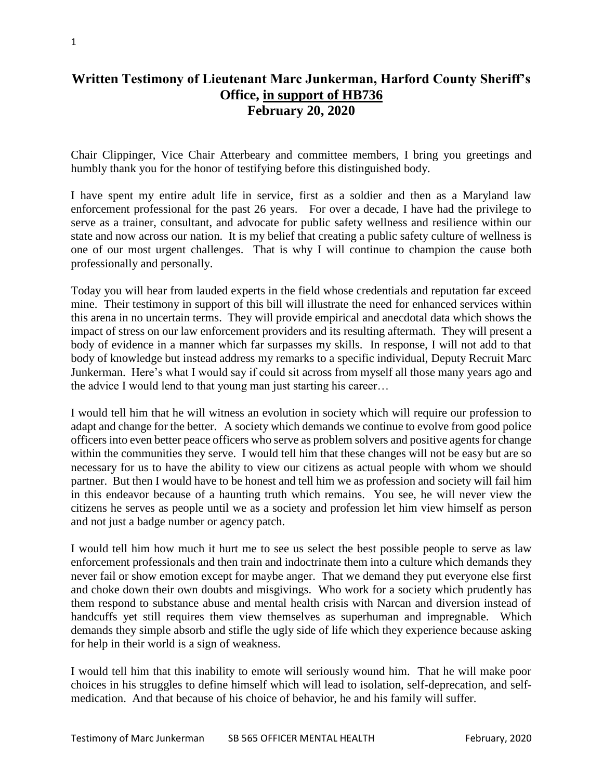## **Written Testimony of Lieutenant Marc Junkerman, Harford County Sheriff's Office, in support of HB736 February 20, 2020**

Chair Clippinger, Vice Chair Atterbeary and committee members, I bring you greetings and humbly thank you for the honor of testifying before this distinguished body.

I have spent my entire adult life in service, first as a soldier and then as a Maryland law enforcement professional for the past 26 years. For over a decade, I have had the privilege to serve as a trainer, consultant, and advocate for public safety wellness and resilience within our state and now across our nation. It is my belief that creating a public safety culture of wellness is one of our most urgent challenges. That is why I will continue to champion the cause both professionally and personally.

Today you will hear from lauded experts in the field whose credentials and reputation far exceed mine. Their testimony in support of this bill will illustrate the need for enhanced services within this arena in no uncertain terms. They will provide empirical and anecdotal data which shows the impact of stress on our law enforcement providers and its resulting aftermath. They will present a body of evidence in a manner which far surpasses my skills. In response, I will not add to that body of knowledge but instead address my remarks to a specific individual, Deputy Recruit Marc Junkerman. Here's what I would say if could sit across from myself all those many years ago and the advice I would lend to that young man just starting his career…

I would tell him that he will witness an evolution in society which will require our profession to adapt and change for the better. A society which demands we continue to evolve from good police officers into even better peace officers who serve as problem solvers and positive agents for change within the communities they serve. I would tell him that these changes will not be easy but are so necessary for us to have the ability to view our citizens as actual people with whom we should partner. But then I would have to be honest and tell him we as profession and society will fail him in this endeavor because of a haunting truth which remains. You see, he will never view the citizens he serves as people until we as a society and profession let him view himself as person and not just a badge number or agency patch.

I would tell him how much it hurt me to see us select the best possible people to serve as law enforcement professionals and then train and indoctrinate them into a culture which demands they never fail or show emotion except for maybe anger. That we demand they put everyone else first and choke down their own doubts and misgivings. Who work for a society which prudently has them respond to substance abuse and mental health crisis with Narcan and diversion instead of handcuffs yet still requires them view themselves as superhuman and impregnable. Which demands they simple absorb and stifle the ugly side of life which they experience because asking for help in their world is a sign of weakness.

I would tell him that this inability to emote will seriously wound him. That he will make poor choices in his struggles to define himself which will lead to isolation, self-deprecation, and selfmedication. And that because of his choice of behavior, he and his family will suffer.